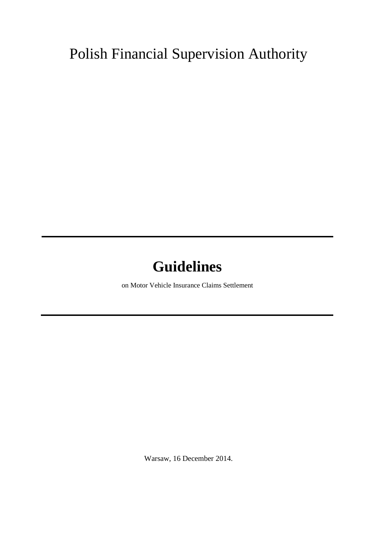## Polish Financial Supervision Authority

# **Guidelines**

on Motor Vehicle Insurance Claims Settlement

Warsaw, 16 December 2014.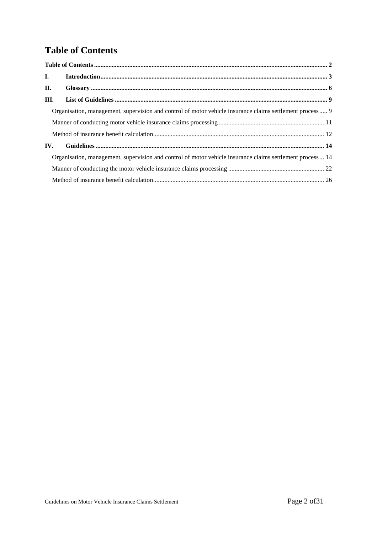## **Table of Contents**

| $\mathbf{I}$ .                                                                                            |                                                                                                          |  |
|-----------------------------------------------------------------------------------------------------------|----------------------------------------------------------------------------------------------------------|--|
| II.                                                                                                       |                                                                                                          |  |
| Ш.                                                                                                        |                                                                                                          |  |
|                                                                                                           | Organisation, management, supervision and control of motor vehicle insurance claims settlement process 9 |  |
|                                                                                                           |                                                                                                          |  |
|                                                                                                           |                                                                                                          |  |
| IV.                                                                                                       |                                                                                                          |  |
| Organisation, management, supervision and control of motor vehicle insurance claims settlement process 14 |                                                                                                          |  |
|                                                                                                           |                                                                                                          |  |
|                                                                                                           |                                                                                                          |  |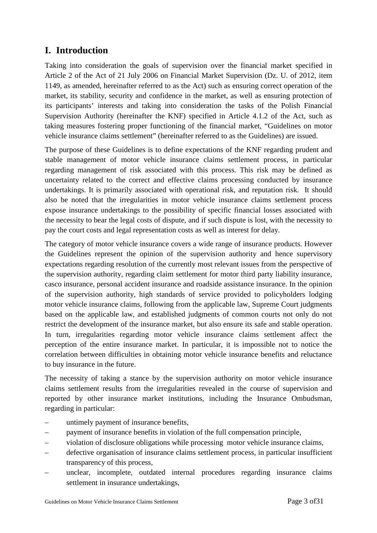## **I. Introduction**

Taking into consideration the goals of supervision over the financial market specified in Article 2 of the Act of 21 July 2006 on Financial Market Supervision (Dz. U. of 2012, item 1149, as amended, hereinafter referred to as the Act) such as ensuring correct operation of the market, its stability, security and confidence in the market, as well as ensuring protection of its participants' interests and taking into consideration the tasks of the Polish Financial Supervision Authority (hereinafter the KNF) specified in Article 4.1.2 of the Act, such as taking measures fostering proper functioning of the financial market, "Guidelines on motor vehicle insurance claims settlement" (hereinafter referred to as the Guidelines) are issued.

The purpose of these Guidelines is to define expectations of the KNF regarding prudent and stable management of motor vehicle insurance claims settlement process, in particular regarding management of risk associated with this process. This risk may be defined as uncertainty related to the correct and effective claims processing conducted by insurance undertakings. It is primarily associated with operational risk, and reputation risk. It should also be noted that the irregularities in motor vehicle insurance claims settlement process expose insurance undertakings to the possibility of specific financial losses associated with the necessity to bear the legal costs of dispute, and if such dispute is lost, with the necessity to pay the court costs and legal representation costs as well as interest for delay.

The category of motor vehicle insurance covers a wide range of insurance products. However the Guidelines represent the opinion of the supervision authority and hence supervisory expectations regarding resolution of the currently most relevant issues from the perspective of the supervision authority, regarding claim settlement for motor third party liability insurance, casco insurance, personal accident insurance and roadside assistance insurance. In the opinion of the supervision authority, high standards of service provided to policyholders lodging motor vehicle insurance claims, following from the applicable law, Supreme Court judgments based on the applicable law, and established judgments of common courts not only do not restrict the development of the insurance market, but also ensure its safe and stable operation. In turn, irregularities regarding motor vehicle insurance claims settlement affect the perception of the entire insurance market. In particular, it is impossible not to notice the correlation between difficulties in obtaining motor vehicle insurance benefits and reluctance to buy insurance in the future.

The necessity of taking a stance by the supervision authority on motor vehicle insurance claims settlement results from the irregularities revealed in the course of supervision and reported by other insurance market institutions, including the Insurance Ombudsman, regarding in particular:

- untimely payment of insurance benefits,
- payment of insurance benefits in violation of the full compensation principle,
- violation of disclosure obligations while processing motor vehicle insurance claims,
- defective organisation of insurance claims settlement process, in particular insufficient transparency of this process,
- unclear, incomplete, outdated internal procedures regarding insurance claims settlement in insurance undertakings,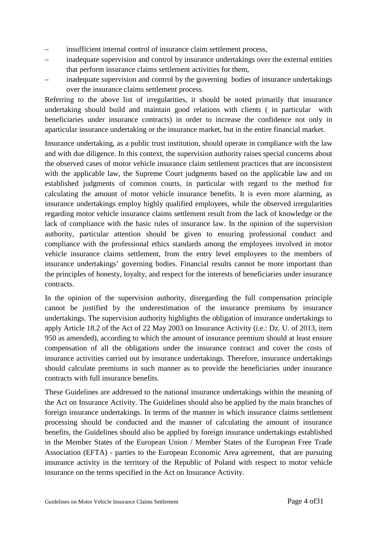- insufficient internal control of insurance claim settlement process,
- inadequate supervision and control by insurance undertakings over the external entities that perform insurance claims settlement activities for them,
- inadequate supervision and control by the governing bodies of insurance undertakings over the insurance claims settlement process.

Referring to the above list of irregularities, it should be noted primarily that insurance undertaking should build and maintain good relations with clients ( in particular with beneficiaries under insurance contracts) in order to increase the confidence not only in aparticular insurance undertaking or the insurance market, but in the entire financial market.

Insurance undertaking, as a public trust institution, should operate in compliance with the law and with due diligence. In this context, the supervision authority raises special concerns about the observed cases of motor vehicle insurance claim settlement practices that are inconsistent with the applicable law, the Supreme Court judgments based on the applicable law and on established judgments of common courts, in particular with regard to the method for calculating the amount of motor vehicle insurance benefits. It is even more alarming, as insurance undertakings employ highly qualified employees, while the observed irregularities regarding motor vehicle insurance claims settlement result from the lack of knowledge or the lack of compliance with the basic rules of insurance law. In the opinion of the supervision authority, particular attention should be given to ensuring professional conduct and compliance with the professional ethics standards among the employees involved in motor vehicle insurance claims settlement, from the entry level employees to the members of insurance undertakings' governing bodies. Financial results cannot be more important than the principles of honesty, loyalty, and respect for the interests of beneficiaries under insurance contracts.

In the opinion of the supervision authority, disregarding the full compensation principle cannot be justified by the underestimation of the insurance premiums by insurance undertakings. The supervision authority highlights the obligation of insurance undertakings to apply Article 18.2 of the Act of 22 May 2003 on Insurance Activity (i.e.: Dz. U. of 2013, item 950 as amended), according to which the amount of insurance premium should at least ensure compensation of all the obligations under the insurance contract and cover the costs of insurance activities carried out by insurance undertakings. Therefore, insurance undertakings should calculate premiums in such manner as to provide the beneficiaries under insurance contracts with full insurance benefits.

These Guidelines are addressed to the national insurance undertakings within the meaning of the Act on Insurance Activity. The Guidelines should also be applied by the main branches of foreign insurance undertakings. In terms of the manner in which insurance claims settlement processing should be conducted and the manner of calculating the amount of insurance benefits, the Guidelines should also be applied by foreign insurance undertakings established in the Member States of the European Union / Member States of the European Free Trade Association (EFTA) - parties to the European Economic Area agreement, that are pursuing insurance activity in the territory of the Republic of Poland with respect to motor vehicle insurance on the terms specified in the Act on Insurance Activity.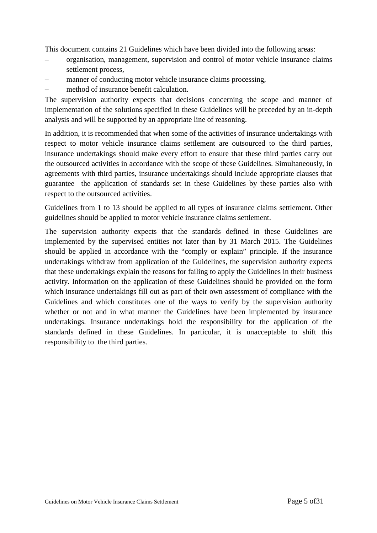This document contains 21 Guidelines which have been divided into the following areas:

- organisation, management, supervision and control of motor vehicle insurance claims settlement process,
- manner of conducting motor vehicle insurance claims processing,
- method of insurance benefit calculation.

The supervision authority expects that decisions concerning the scope and manner of implementation of the solutions specified in these Guidelines will be preceded by an in-depth analysis and will be supported by an appropriate line of reasoning.

In addition, it is recommended that when some of the activities of insurance undertakings with respect to motor vehicle insurance claims settlement are outsourced to the third parties, insurance undertakings should make every effort to ensure that these third parties carry out the outsourced activities in accordance with the scope of these Guidelines. Simultaneously, in agreements with third parties, insurance undertakings should include appropriate clauses that guarantee the application of standards set in these Guidelines by these parties also with respect to the outsourced activities.

Guidelines from 1 to 13 should be applied to all types of insurance claims settlement. Other guidelines should be applied to motor vehicle insurance claims settlement.

The supervision authority expects that the standards defined in these Guidelines are implemented by the supervised entities not later than by 31 March 2015. The Guidelines should be applied in accordance with the "comply or explain" principle. If the insurance undertakings withdraw from application of the Guidelines, the supervision authority expects that these undertakings explain the reasons for failing to apply the Guidelines in their business activity. Information on the application of these Guidelines should be provided on the form which insurance undertakings fill out as part of their own assessment of compliance with the Guidelines and which constitutes one of the ways to verify by the supervision authority whether or not and in what manner the Guidelines have been implemented by insurance undertakings. Insurance undertakings hold the responsibility for the application of the standards defined in these Guidelines. In particular, it is unacceptable to shift this responsibility to the third parties.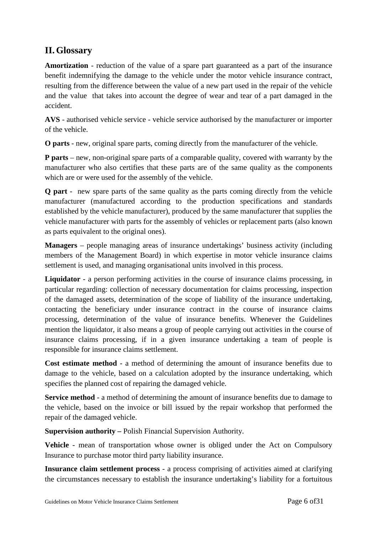## **II. Glossary**

**Amortization** - reduction of the value of a spare part guaranteed as a part of the insurance benefit indemnifying the damage to the vehicle under the motor vehicle insurance contract, resulting from the difference between the value of a new part used in the repair of the vehicle and the value that takes into account the degree of wear and tear of a part damaged in the accident.

**AVS** - authorised vehicle service - vehicle service authorised by the manufacturer or importer of the vehicle.

**O parts** - new, original spare parts, coming directly from the manufacturer of the vehicle.

**P parts** – new, non-original spare parts of a comparable quality, covered with warranty by the manufacturer who also certifies that these parts are of the same quality as the components which are or were used for the assembly of the vehicle.

**Q part** - new spare parts of the same quality as the parts coming directly from the vehicle manufacturer (manufactured according to the production specifications and standards established by the vehicle manufacturer), produced by the same manufacturer that supplies the vehicle manufacturer with parts for the assembly of vehicles or replacement parts (also known as parts equivalent to the original ones).

**Managers** – people managing areas of insurance undertakings' business activity (including members of the Management Board) in which expertise in motor vehicle insurance claims settlement is used, and managing organisational units involved in this process.

**Liquidator** - a person performing activities in the course of insurance claims processing, in particular regarding: collection of necessary documentation for claims processing, inspection of the damaged assets, determination of the scope of liability of the insurance undertaking, contacting the beneficiary under insurance contract in the course of insurance claims processing, determination of the value of insurance benefits. Whenever the Guidelines mention the liquidator, it also means a group of people carrying out activities in the course of insurance claims processing, if in a given insurance undertaking a team of people is responsible for insurance claims settlement.

**Cost estimate method** - a method of determining the amount of insurance benefits due to damage to the vehicle, based on a calculation adopted by the insurance undertaking, which specifies the planned cost of repairing the damaged vehicle.

**Service method** - a method of determining the amount of insurance benefits due to damage to the vehicle, based on the invoice or bill issued by the repair workshop that performed the repair of the damaged vehicle.

**Supervision authority –** Polish Financial Supervision Authority.

**Vehicle** - mean of transportation whose owner is obliged under the Act on Compulsory Insurance to purchase motor third party liability insurance.

**Insurance claim settlement process** - a process comprising of activities aimed at clarifying the circumstances necessary to establish the insurance undertaking's liability for a fortuitous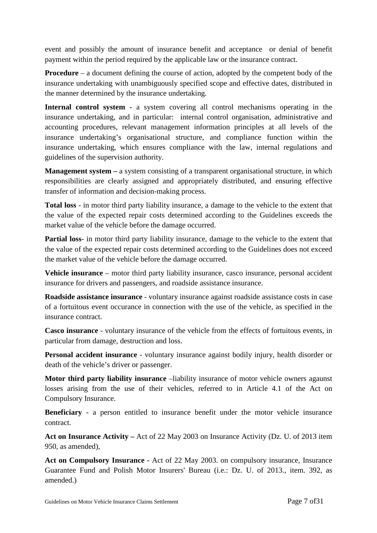event and possibly the amount of insurance benefit and acceptance or denial of benefit payment within the period required by the applicable law or the insurance contract.

**Procedure** – a document defining the course of action, adopted by the competent body of the insurance undertaking with unambiguously specified scope and effective dates, distributed in the manner determined by the insurance undertaking.

**Internal control system** - a system covering all control mechanisms operating in the insurance undertaking, and in particular: internal control organisation, administrative and accounting procedures, relevant management information principles at all levels of the insurance undertaking's organisational structure, and compliance function within the insurance undertaking, which ensures compliance with the law, internal regulations and guidelines of the supervision authority.

**Management system –** a system consisting of a transparent organisational structure, in which responsibilities are clearly assigned and appropriately distributed, and ensuring effective transfer of information and decision-making process.

**Total loss** - in motor third party liability insurance, a damage to the vehicle to the extent that the value of the expected repair costs determined according to the Guidelines exceeds the market value of the vehicle before the damage occurred.

**Partial loss**- in motor third party liability insurance, damage to the vehicle to the extent that the value of the expected repair costs determined according to the Guidelines does not exceed the market value of the vehicle before the damage occurred.

**Vehicle insurance** – motor third party liability insurance, casco insurance, personal accident insurance for drivers and passengers, and roadside assistance insurance.

**Roadside assistance insurance** - voluntary insurance against roadside assistance costs in case of a fortuitous event occurance in connection with the use of the vehicle, as specified in the insurance contract.

**Casco insurance** - voluntary insurance of the vehicle from the effects of fortuitous events, in particular from damage, destruction and loss.

**Personal accident insurance** - voluntary insurance against bodily injury, health disorder or death of the vehicle's driver or passenger.

**Motor third party liability insurance** –liability insurance of motor vehicle owners agaunst losses arising from the use of their vehicles, referred to in Article 4.1 of the Act on Compulsory Insurance.

**Beneficiary** - a person entitled to insurance benefit under the motor vehicle insurance contract.

**Act on Insurance Activity –** Act of 22 May 2003 on Insurance Activity (Dz. U. of 2013 item 950, as amended),

**Act on Compulsory Insurance -** Act of 22 May 2003. on compulsory insurance, Insurance Guarantee Fund and Polish Motor Insurers' Bureau (i.e.: Dz. U. of 2013., item. 392, as amended.)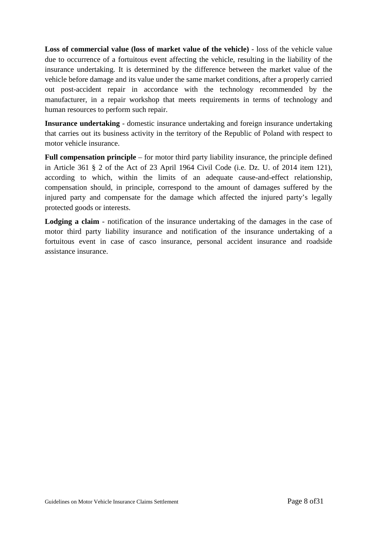**Loss of commercial value (loss of market value of the vehicle)** - loss of the vehicle value due to occurrence of a fortuitous event affecting the vehicle, resulting in the liability of the insurance undertaking. It is determined by the difference between the market value of the vehicle before damage and its value under the same market conditions, after a properly carried out post-accident repair in accordance with the technology recommended by the manufacturer, in a repair workshop that meets requirements in terms of technology and human resources to perform such repair.

**Insurance undertaking** - domestic insurance undertaking and foreign insurance undertaking that carries out its business activity in the territory of the Republic of Poland with respect to motor vehicle insurance.

**Full compensation principle** – for motor third party liability insurance, the principle defined in Article 361 § 2 of the Act of 23 April 1964 Civil Code (i.e. Dz. U. of 2014 item 121), according to which, within the limits of an adequate cause-and-effect relationship, compensation should, in principle, correspond to the amount of damages suffered by the injured party and compensate for the damage which affected the injured party's legally protected goods or interests.

Lodging a claim - notification of the insurance undertaking of the damages in the case of motor third party liability insurance and notification of the insurance undertaking of a fortuitous event in case of casco insurance, personal accident insurance and roadside assistance insurance.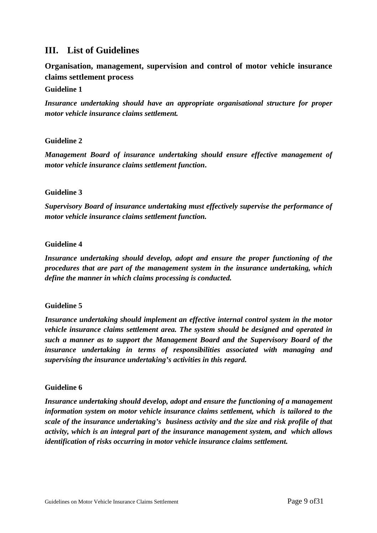## **III. List of Guidelines**

**Organisation, management, supervision and control of motor vehicle insurance claims settlement process** 

#### **Guideline 1**

*Insurance undertaking should have an appropriate organisational structure for proper motor vehicle insurance claims settlement.* 

#### **Guideline 2**

*Management Board of insurance undertaking should ensure effective management of motor vehicle insurance claims settlement function***.**

#### **Guideline 3**

*Supervisory Board of insurance undertaking must effectively supervise the performance of motor vehicle insurance claims settlement function.*

#### **Guideline 4**

*Insurance undertaking should develop, adopt and ensure the proper functioning of the procedures that are part of the management system in the insurance undertaking, which define the manner in which claims processing is conducted.*

#### **Guideline 5**

*Insurance undertaking should implement an effective internal control system in the motor vehicle insurance claims settlement area. The system should be designed and operated in such a manner as to support the Management Board and the Supervisory Board of the insurance undertaking in terms of responsibilities associated with managing and supervising the insurance undertaking's activities in this regard.* 

#### **Guideline 6**

*Insurance undertaking should develop, adopt and ensure the functioning of a management information system on motor vehicle insurance claims settlement, which is tailored to the scale of the insurance undertaking's business activity and the size and risk profile of that activity, which is an integral part of the insurance management system, and which allows identification of risks occurring in motor vehicle insurance claims settlement.*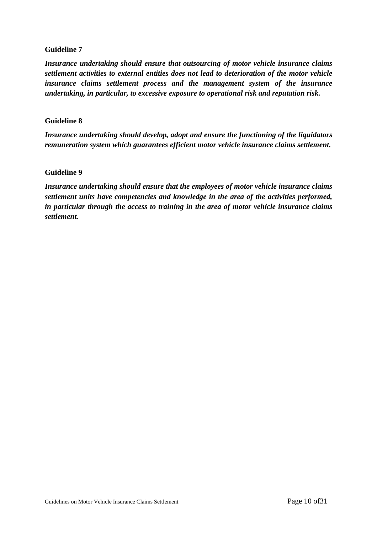#### **Guideline 7**

*Insurance undertaking should ensure that outsourcing of motor vehicle insurance claims settlement activities to external entities does not lead to deterioration of the motor vehicle insurance claims settlement process and the management system of the insurance undertaking, in particular, to excessive exposure to operational risk and reputation risk.* 

#### **Guideline 8**

*Insurance undertaking should develop, adopt and ensure the functioning of the liquidators remuneration system which guarantees efficient motor vehicle insurance claims settlement.*

#### **Guideline 9**

*Insurance undertaking should ensure that the employees of motor vehicle insurance claims settlement units have competencies and knowledge in the area of the activities performed, in particular through the access to training in the area of motor vehicle insurance claims settlement.*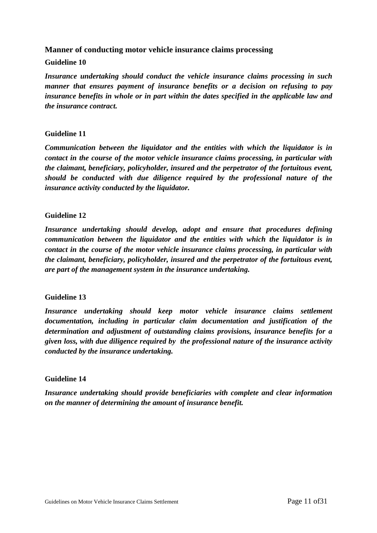## **Manner of conducting motor vehicle insurance claims processing**

#### **Guideline 10**

*Insurance undertaking should conduct the vehicle insurance claims processing in such manner that ensures payment of insurance benefits or a decision on refusing to pay insurance benefits in whole or in part within the dates specified in the applicable law and the insurance contract.* 

#### **Guideline 11**

*Communication between the liquidator and the entities with which the liquidator is in contact in the course of the motor vehicle insurance claims processing, in particular with the claimant, beneficiary, policyholder, insured and the perpetrator of the fortuitous event, should be conducted with due diligence required by the professional nature of the insurance activity conducted by the liquidator.* 

#### **Guideline 12**

*Insurance undertaking should develop, adopt and ensure that procedures defining communication between the liquidator and the entities with which the liquidator is in contact in the course of the motor vehicle insurance claims processing, in particular with the claimant, beneficiary, policyholder, insured and the perpetrator of the fortuitous event, are part of the management system in the insurance undertaking.* 

#### **Guideline 13**

*Insurance undertaking should keep motor vehicle insurance claims settlement documentation, including in particular claim documentation and justification of the determination and adjustment of outstanding claims provisions, insurance benefits for a given loss, with due diligence required by the professional nature of the insurance activity conducted by the insurance undertaking.*

#### **Guideline 14**

*Insurance undertaking should provide beneficiaries with complete and clear information on the manner of determining the amount of insurance benefit.*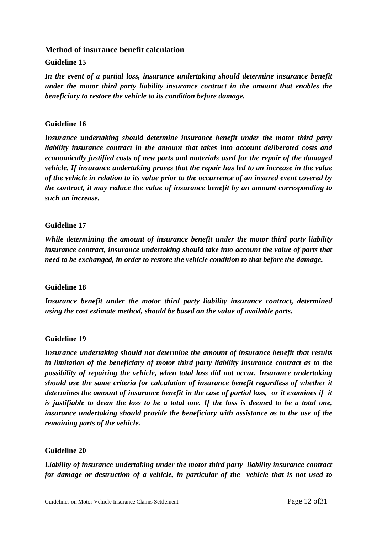## **Method of insurance benefit calculation Guideline 15**

*In the event of a partial loss, insurance undertaking should determine insurance benefit under the motor third party liability insurance contract in the amount that enables the beneficiary to restore the vehicle to its condition before damage.* 

#### **Guideline 16**

*Insurance undertaking should determine insurance benefit under the motor third party liability insurance contract in the amount that takes into account deliberated costs and economically justified costs of new parts and materials used for the repair of the damaged vehicle. If insurance undertaking proves that the repair has led to an increase in the value of the vehicle in relation to its value prior to the occurrence of an insured event covered by the contract, it may reduce the value of insurance benefit by an amount corresponding to such an increase.* 

#### **Guideline 17**

*While determining the amount of insurance benefit under the motor third party liability insurance contract, insurance undertaking should take into account the value of parts that need to be exchanged, in order to restore the vehicle condition to that before the damage.* 

#### **Guideline 18**

*Insurance benefit under the motor third party liability insurance contract, determined using the cost estimate method, should be based on the value of available parts.* 

#### **Guideline 19**

*Insurance undertaking should not determine the amount of insurance benefit that results in limitation of the beneficiary of motor third party liability insurance contract as to the possibility of repairing the vehicle, when total loss did not occur. Insurance undertaking should use the same criteria for calculation of insurance benefit regardless of whether it determines the amount of insurance benefit in the case of partial loss, or it examines if it is justifiable to deem the loss to be a total one. If the loss is deemed to be a total one, insurance undertaking should provide the beneficiary with assistance as to the use of the remaining parts of the vehicle.* 

#### **Guideline 20**

*Liability of insurance undertaking under the motor third party liability insurance contract for damage or destruction of a vehicle, in particular of the vehicle that is not used to*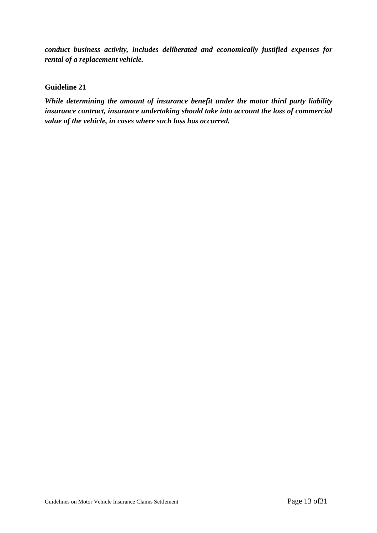*conduct business activity, includes deliberated and economically justified expenses for rental of a replacement vehicle.* 

#### **Guideline 21**

*While determining the amount of insurance benefit under the motor third party liability insurance contract, insurance undertaking should take into account the loss of commercial value of the vehicle, in cases where such loss has occurred.*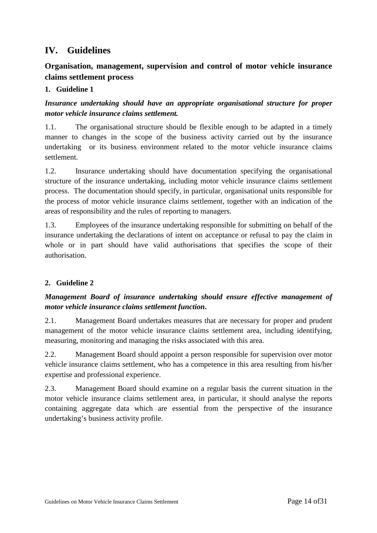## **IV. Guidelines**

## **Organisation, management, supervision and control of motor vehicle insurance claims settlement process**

## **1. Guideline 1**

*Insurance undertaking should have an appropriate organisational structure for proper motor vehicle insurance claims settlement.* 

1.1. The organisational structure should be flexible enough to be adapted in a timely manner to changes in the scope of the business activity carried out by the insurance undertaking or its business environment related to the motor vehicle insurance claims settlement.

1.2. Insurance undertaking should have documentation specifying the organisational structure of the insurance undertaking, including motor vehicle insurance claims settlement process. The documentation should specify, in particular, organisational units responsible for the process of motor vehicle insurance claims settlement, together with an indication of the areas of responsibility and the rules of reporting to managers.

1.3. Employees of the insurance undertaking responsible for submitting on behalf of the insurance undertaking the declarations of intent on acceptance or refusal to pay the claim in whole or in part should have valid authorisations that specifies the scope of their authorisation.

## **2. Guideline 2**

## *Management Board of insurance undertaking should ensure effective management of motor vehicle insurance claims settlement function***.**

2.1. Management Board undertakes measures that are necessary for proper and prudent management of the motor vehicle insurance claims settlement area, including identifying, measuring, monitoring and managing the risks associated with this area.

2.2. Management Board should appoint a person responsible for supervision over motor vehicle insurance claims settlement, who has a competence in this area resulting from his/her expertise and professional experience.

2.3. Management Board should examine on a regular basis the current situation in the motor vehicle insurance claims settlement area, in particular, it should analyse the reports containing aggregate data which are essential from the perspective of the insurance undertaking's business activity profile.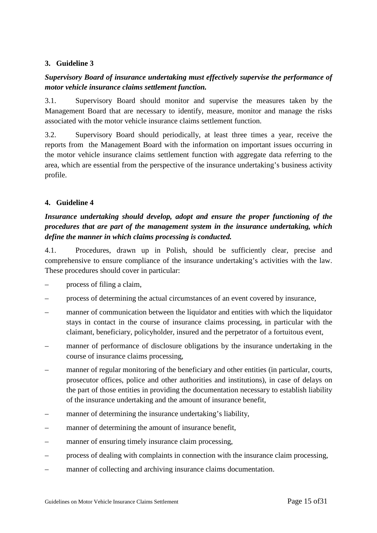#### **3. Guideline 3**

## *Supervisory Board of insurance undertaking must effectively supervise the performance of motor vehicle insurance claims settlement function.*

3.1. Supervisory Board should monitor and supervise the measures taken by the Management Board that are necessary to identify, measure, monitor and manage the risks associated with the motor vehicle insurance claims settlement function.

3.2. Supervisory Board should periodically, at least three times a year, receive the reports from the Management Board with the information on important issues occurring in the motor vehicle insurance claims settlement function with aggregate data referring to the area, which are essential from the perspective of the insurance undertaking's business activity profile.

#### **4. Guideline 4**

## *Insurance undertaking should develop, adopt and ensure the proper functioning of the procedures that are part of the management system in the insurance undertaking, which define the manner in which claims processing is conducted.*

4.1. Procedures, drawn up in Polish, should be sufficiently clear, precise and comprehensive to ensure compliance of the insurance undertaking's activities with the law. These procedures should cover in particular:

- process of filing a claim,
- process of determining the actual circumstances of an event covered by insurance,
- manner of communication between the liquidator and entities with which the liquidator stays in contact in the course of insurance claims processing, in particular with the claimant, beneficiary, policyholder, insured and the perpetrator of a fortuitous event,
- manner of performance of disclosure obligations by the insurance undertaking in the course of insurance claims processing,
- manner of regular monitoring of the beneficiary and other entities (in particular, courts, prosecutor offices, police and other authorities and institutions), in case of delays on the part of those entities in providing the documentation necessary to establish liability of the insurance undertaking and the amount of insurance benefit,
- manner of determining the insurance undertaking's liability,
- manner of determining the amount of insurance benefit,
- manner of ensuring timely insurance claim processing,
- process of dealing with complaints in connection with the insurance claim processing,
- manner of collecting and archiving insurance claims documentation.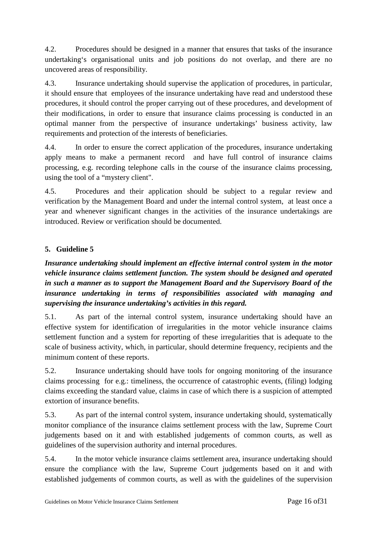4.2. Procedures should be designed in a manner that ensures that tasks of the insurance undertaking's organisational units and job positions do not overlap, and there are no uncovered areas of responsibility.

4.3. Insurance undertaking should supervise the application of procedures, in particular, it should ensure that employees of the insurance undertaking have read and understood these procedures, it should control the proper carrying out of these procedures, and development of their modifications, in order to ensure that insurance claims processing is conducted in an optimal manner from the perspective of insurance undertakings' business activity, law requirements and protection of the interests of beneficiaries.

4.4. In order to ensure the correct application of the procedures, insurance undertaking apply means to make a permanent record and have full control of insurance claims processing, e.g. recording telephone calls in the course of the insurance claims processing, using the tool of a "mystery client".

4.5. Procedures and their application should be subject to a regular review and verification by the Management Board and under the internal control system, at least once a year and whenever significant changes in the activities of the insurance undertakings are introduced. Review or verification should be documented.

## **5. Guideline 5**

*Insurance undertaking should implement an effective internal control system in the motor vehicle insurance claims settlement function. The system should be designed and operated in such a manner as to support the Management Board and the Supervisory Board of the insurance undertaking in terms of responsibilities associated with managing and supervising the insurance undertaking's activities in this regard.* 

5.1. As part of the internal control system, insurance undertaking should have an effective system for identification of irregularities in the motor vehicle insurance claims settlement function and a system for reporting of these irregularities that is adequate to the scale of business activity, which, in particular, should determine frequency, recipients and the minimum content of these reports.

5.2. Insurance undertaking should have tools for ongoing monitoring of the insurance claims processing for e.g.: timeliness, the occurrence of catastrophic events, (filing) lodging claims exceeding the standard value, claims in case of which there is a suspicion of attempted extortion of insurance benefits.

5.3. As part of the internal control system, insurance undertaking should, systematically monitor compliance of the insurance claims settlement process with the law, Supreme Court judgements based on it and with established judgements of common courts, as well as guidelines of the supervision authority and internal procedures.

5.4. In the motor vehicle insurance claims settlement area, insurance undertaking should ensure the compliance with the law, Supreme Court judgements based on it and with established judgements of common courts, as well as with the guidelines of the supervision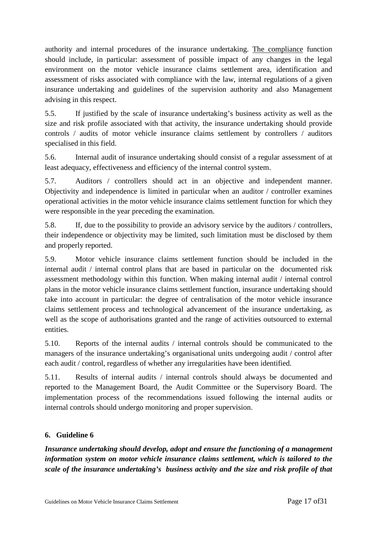authority and internal procedures of the insurance undertaking. The compliance function should include, in particular: assessment of possible impact of any changes in the legal environment on the motor vehicle insurance claims settlement area, identification and assessment of risks associated with compliance with the law, internal regulations of a given insurance undertaking and guidelines of the supervision authority and also Management advising in this respect.

5.5. If justified by the scale of insurance undertaking's business activity as well as the size and risk profile associated with that activity, the insurance undertaking should provide controls / audits of motor vehicle insurance claims settlement by controllers / auditors specialised in this field.

5.6. Internal audit of insurance undertaking should consist of a regular assessment of at least adequacy, effectiveness and efficiency of the internal control system.

5.7. Auditors / controllers should act in an objective and independent manner. Objectivity and independence is limited in particular when an auditor / controller examines operational activities in the motor vehicle insurance claims settlement function for which they were responsible in the year preceding the examination.

5.8. If, due to the possibility to provide an advisory service by the auditors / controllers, their independence or objectivity may be limited, such limitation must be disclosed by them and properly reported.

5.9. Motor vehicle insurance claims settlement function should be included in the internal audit / internal control plans that are based in particular on the documented risk assessment methodology within this function. When making internal audit / internal control plans in the motor vehicle insurance claims settlement function, insurance undertaking should take into account in particular: the degree of centralisation of the motor vehicle insurance claims settlement process and technological advancement of the insurance undertaking, as well as the scope of authorisations granted and the range of activities outsourced to external entities.

5.10. Reports of the internal audits / internal controls should be communicated to the managers of the insurance undertaking's organisational units undergoing audit / control after each audit / control, regardless of whether any irregularities have been identified.

5.11. Results of internal audits / internal controls should always be documented and reported to the Management Board, the Audit Committee or the Supervisory Board. The implementation process of the recommendations issued following the internal audits or internal controls should undergo monitoring and proper supervision.

## **6. Guideline 6**

*Insurance undertaking should develop, adopt and ensure the functioning of a management information system on motor vehicle insurance claims settlement, which is tailored to the scale of the insurance undertaking's business activity and the size and risk profile of that*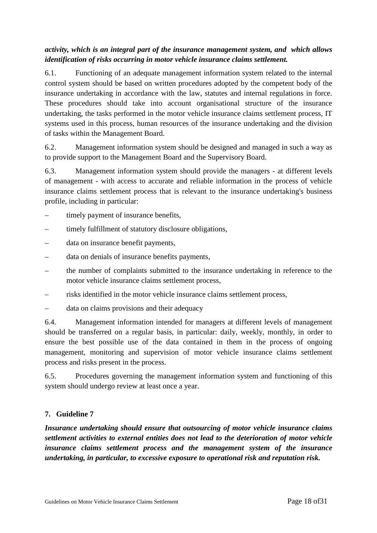## *activity, which is an integral part of the insurance management system, and which allows identification of risks occurring in motor vehicle insurance claims settlement.*

6.1. Functioning of an adequate management information system related to the internal control system should be based on written procedures adopted by the competent body of the insurance undertaking in accordance with the law, statutes and internal regulations in force. These procedures should take into account organisational structure of the insurance undertaking, the tasks performed in the motor vehicle insurance claims settlement process, IT systems used in this process, human resources of the insurance undertaking and the division of tasks within the Management Board.

6.2. Management information system should be designed and managed in such a way as to provide support to the Management Board and the Supervisory Board.

6.3. Management information system should provide the managers - at different levels of management - with access to accurate and reliable information in the process of vehicle insurance claims settlement process that is relevant to the insurance undertaking's business profile, including in particular:

- timely payment of insurance benefits,
- timely fulfillment of statutory disclosure obligations,
- data on insurance benefit payments,
- data on denials of insurance benefits payments,
- the number of complaints submitted to the insurance undertaking in reference to the motor vehicle insurance claims settlement process,
- risks identified in the motor vehicle insurance claims settlement process,
- data on claims provisions and their adequacy

6.4. Management information intended for managers at different levels of management should be transferred on a regular basis, in particular: daily, weekly, monthly, in order to ensure the best possible use of the data contained in them in the process of ongoing management, monitoring and supervision of motor vehicle insurance claims settlement process and risks present in the process.

6.5. Procedures governing the management information system and functioning of this system should undergo review at least once a year.

#### **7. Guideline 7**

*Insurance undertaking should ensure that outsourcing of motor vehicle insurance claims settlement activities to external entities does not lead to the deterioration of motor vehicle insurance claims settlement process and the management system of the insurance undertaking, in particular, to excessive exposure to operational risk and reputation risk.*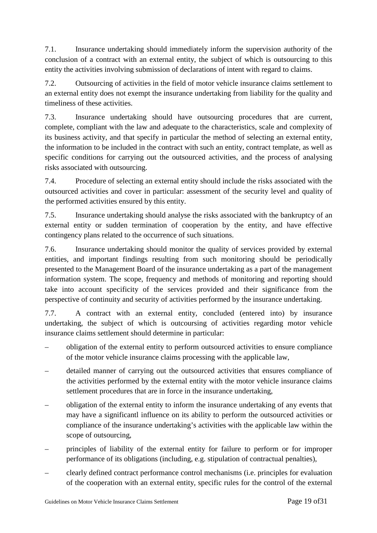7.1. Insurance undertaking should immediately inform the supervision authority of the conclusion of a contract with an external entity, the subject of which is outsourcing to this entity the activities involving submission of declarations of intent with regard to claims.

7.2. Outsourcing of activities in the field of motor vehicle insurance claims settlement to an external entity does not exempt the insurance undertaking from liability for the quality and timeliness of these activities.

7.3. Insurance undertaking should have outsourcing procedures that are current, complete, compliant with the law and adequate to the characteristics, scale and complexity of its business activity, and that specify in particular the method of selecting an external entity, the information to be included in the contract with such an entity, contract template, as well as specific conditions for carrying out the outsourced activities, and the process of analysing risks associated with outsourcing.

7.4. Procedure of selecting an external entity should include the risks associated with the outsourced activities and cover in particular: assessment of the security level and quality of the performed activities ensured by this entity.

7.5. Insurance undertaking should analyse the risks associated with the bankruptcy of an external entity or sudden termination of cooperation by the entity, and have effective contingency plans related to the occurrence of such situations.

7.6. Insurance undertaking should monitor the quality of services provided by external entities, and important findings resulting from such monitoring should be periodically presented to the Management Board of the insurance undertaking as a part of the management information system. The scope, frequency and methods of monitoring and reporting should take into account specificity of the services provided and their significance from the perspective of continuity and security of activities performed by the insurance undertaking.

7.7. A contract with an external entity, concluded (entered into) by insurance undertaking, the subject of which is outcoursing of activities regarding motor vehicle insurance claims settlement should determine in particular:

- obligation of the external entity to perform outsourced activities to ensure compliance of the motor vehicle insurance claims processing with the applicable law,
- detailed manner of carrying out the outsourced activities that ensures compliance of the activities performed by the external entity with the motor vehicle insurance claims settlement procedures that are in force in the insurance undertaking,
- obligation of the external entity to inform the insurance undertaking of any events that may have a significantl influence on its ability to perform the outsourced activities or compliance of the insurance undertaking's activities with the applicable law within the scope of outsourcing,
- principles of liability of the external entity for failure to perform or for improper performance of its obligations (including, e.g. stipulation of contractual penalties),
- clearly defined contract performance control mechanisms (i.e. principles for evaluation of the cooperation with an external entity, specific rules for the control of the external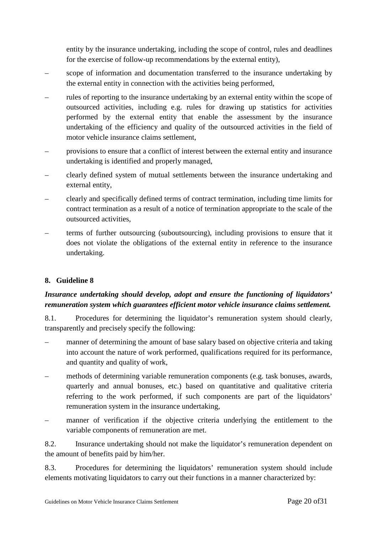entity by the insurance undertaking, including the scope of control, rules and deadlines for the exercise of follow-up recommendations by the external entity),

- scope of information and documentation transferred to the insurance undertaking by the external entity in connection with the activities being performed,
- rules of reporting to the insurance undertaking by an external entity within the scope of outsourced activities, including e.g. rules for drawing up statistics for activities performed by the external entity that enable the assessment by the insurance undertaking of the efficiency and quality of the outsourced activities in the field of motor vehicle insurance claims settlement
- provisions to ensure that a conflict of interest between the external entity and insurance undertaking is identified and properly managed,
- clearly defined system of mutual settlements between the insurance undertaking and external entity,
- clearly and specifically defined terms of contract termination, including time limits for contract termination as a result of a notice of termination appropriate to the scale of the outsourced activities,
- terms of further outsourcing (suboutsourcing), including provisions to ensure that it does not violate the obligations of the external entity in reference to the insurance undertaking.

## **8. Guideline 8**

## *Insurance undertaking should develop, adopt and ensure the functioning of liquidators' remuneration system which guarantees efficient motor vehicle insurance claims settlement.*

8.1. Procedures for determining the liquidator's remuneration system should clearly, transparently and precisely specify the following:

- manner of determining the amount of base salary based on objective criteria and taking into account the nature of work performed, qualifications required for its performance, and quantity and quality of work,
- methods of determining variable remuneration components (e.g. task bonuses, awards, quarterly and annual bonuses, etc.) based on quantitative and qualitative criteria referring to the work performed, if such components are part of the liquidators' remuneration system in the insurance undertaking,
- manner of verification if the objective criteria underlying the entitlement to the variable components of remuneration are met.

8.2. Insurance undertaking should not make the liquidator's remuneration dependent on the amount of benefits paid by him/her.

8.3. Procedures for determining the liquidators' remuneration system should include elements motivating liquidators to carry out their functions in a manner characterized by: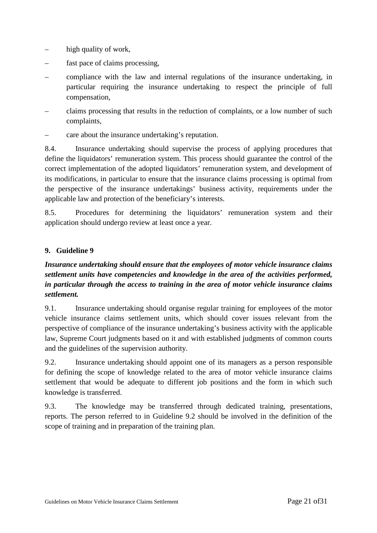- high quality of work,
- fast pace of claims processing,
- compliance with the law and internal regulations of the insurance undertaking, in particular requiring the insurance undertaking to respect the principle of full compensation,
- claims processing that results in the reduction of complaints, or a low number of such complaints,
- care about the insurance undertaking's reputation.

8.4. Insurance undertaking should supervise the process of applying procedures that define the liquidators' remuneration system. This process should guarantee the control of the correct implementation of the adopted liquidators' remuneration system, and development of its modifications, in particular to ensure that the insurance claims processing is optimal from the perspective of the insurance undertakings' business activity, requirements under the applicable law and protection of the beneficiary's interests.

8.5. Procedures for determining the liquidators' remuneration system and their application should undergo review at least once a year.

## **9. Guideline 9**

## *Insurance undertaking should ensure that the employees of motor vehicle insurance claims settlement units have competencies and knowledge in the area of the activities performed, in particular through the access to training in the area of motor vehicle insurance claims settlement.*

9.1. Insurance undertaking should organise regular training for employees of the motor vehicle insurance claims settlement units, which should cover issues relevant from the perspective of compliance of the insurance undertaking's business activity with the applicable law, Supreme Court judgments based on it and with established judgments of common courts and the guidelines of the supervision authority.

9.2. Insurance undertaking should appoint one of its managers as a person responsible for defining the scope of knowledge related to the area of motor vehicle insurance claims settlement that would be adequate to different job positions and the form in which such knowledge is transferred.

9.3. The knowledge may be transferred through dedicated training, presentations, reports. The person referred to in Guideline 9.2 should be involved in the definition of the scope of training and in preparation of the training plan.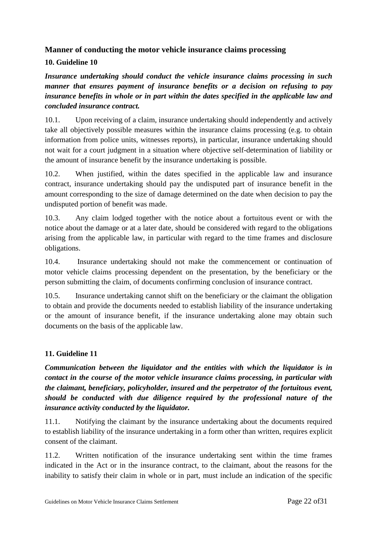## **Manner of conducting the motor vehicle insurance claims processing**

## **10. Guideline 10**

*Insurance undertaking should conduct the vehicle insurance claims processing in such manner that ensures payment of insurance benefits or a decision on refusing to pay insurance benefits in whole or in part within the dates specified in the applicable law and concluded insurance contract.* 

10.1. Upon receiving of a claim, insurance undertaking should independently and actively take all objectively possible measures within the insurance claims processing (e.g. to obtain information from police units, witnesses reports), in particular, insurance undertaking should not wait for a court judgment in a situation where objective self-determination of liability or the amount of insurance benefit by the insurance undertaking is possible.

10.2. When justified, within the dates specified in the applicable law and insurance contract, insurance undertaking should pay the undisputed part of insurance benefit in the amount corresponding to the size of damage determined on the date when decision to pay the undisputed portion of benefit was made.

10.3. Any claim lodged together with the notice about a fortuitous event or with the notice about the damage or at a later date, should be considered with regard to the obligations arising from the applicable law, in particular with regard to the time frames and disclosure obligations.

10.4. Insurance undertaking should not make the commencement or continuation of motor vehicle claims processing dependent on the presentation, by the beneficiary or the person submitting the claim, of documents confirming conclusion of insurance contract.

10.5. Insurance undertaking cannot shift on the beneficiary or the claimant the obligation to obtain and provide the documents needed to establish liability of the insurance undertaking or the amount of insurance benefit, if the insurance undertaking alone may obtain such documents on the basis of the applicable law.

## **11. Guideline 11**

*Communication between the liquidator and the entities with which the liquidator is in contact in the course of the motor vehicle insurance claims processing, in particular with the claimant, beneficiary, policyholder, insured and the perpetrator of the fortuitous event, should be conducted with due diligence required by the professional nature of the insurance activity conducted by the liquidator.* 

11.1. Notifying the claimant by the insurance undertaking about the documents required to establish liability of the insurance undertaking in a form other than written, requires explicit consent of the claimant.

11.2. Written notification of the insurance undertaking sent within the time frames indicated in the Act or in the insurance contract, to the claimant, about the reasons for the inability to satisfy their claim in whole or in part, must include an indication of the specific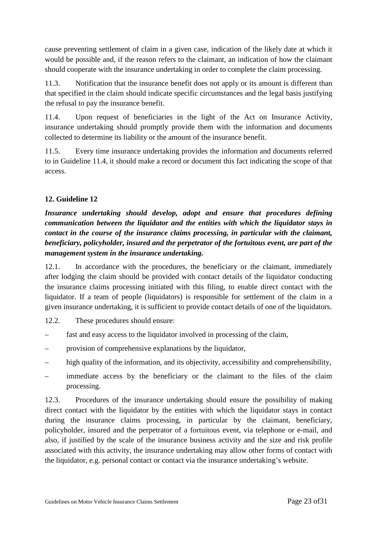cause preventing settlement of claim in a given case, indication of the likely date at which it would be possible and, if the reason refers to the claimant, an indication of how the claimant should cooperate with the insurance undertaking in order to complete the claim processing.

11.3. Notification that the insurance benefit does not apply or its amount is different than that specified in the claim should indicate specific circumstances and the legal basis justifying the refusal to pay the insurance benefit.

11.4. Upon request of beneficiaries in the light of the Act on Insurance Activity, insurance undertaking should promptly provide them with the information and documents collected to determine its liability or the amount of the insurance benefit.

11.5. Every time insurance undertaking provides the information and documents referred to in Guideline 11.4, it should make a record or document this fact indicating the scope of that access.

## **12. Guideline 12**

*Insurance undertaking should develop, adopt and ensure that procedures defining communication between the liquidator and the entities with which the liquidator stays in contact in the course of the insurance claims processing, in particular with the claimant, beneficiary, policyholder, insured and the perpetrator of the fortuitous event, are part of the management system in the insurance undertaking.* 

12.1. In accordance with the procedures, the beneficiary or the claimant, immediately after lodging the claim should be provided with contact details of the liquidator conducting the insurance claims processing initiated with this filing, to enable direct contact with the liquidator. If a team of people (liquidators) is responsible for settlement of the claim in a given insurance undertaking, it is sufficient to provide contact details of one of the liquidators.

12.2. These procedures should ensure:

- fast and easy access to the liquidator involved in processing of the claim,
- provision of comprehensive explanations by the liquidator,
- high quality of the information, and its objectivity, accessibility and comprehensibility,
- immediate access by the beneficiary or the claimant to the files of the claim processing.

12.3. Procedures of the insurance undertaking should ensure the possibility of making direct contact with the liquidator by the entities with which the liquidator stays in contact during the insurance claims processing, in particular by the claimant, beneficiary, policyholder, insured and the perpetrator of a fortuitous event, via telephone or e-mail, and also, if justified by the scale of the insurance business activity and the size and risk profile associated with this activity, the insurance undertaking may allow other forms of contact with the liquidator, e.g. personal contact or contact via the insurance undertaking's website.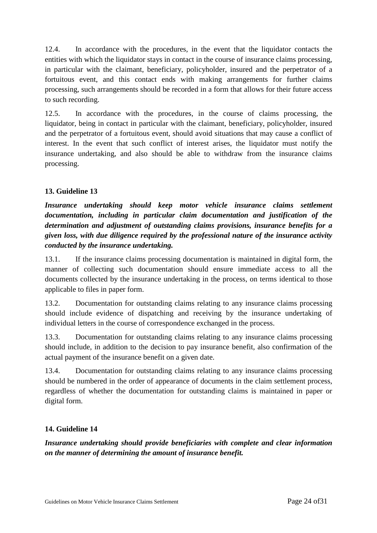12.4. In accordance with the procedures, in the event that the liquidator contacts the entities with which the liquidator stays in contact in the course of insurance claims processing, in particular with the claimant, beneficiary, policyholder, insured and the perpetrator of a fortuitous event, and this contact ends with making arrangements for further claims processing, such arrangements should be recorded in a form that allows for their future access to such recording.

12.5. In accordance with the procedures, in the course of claims processing, the liquidator, being in contact in particular with the claimant, beneficiary, policyholder, insured and the perpetrator of a fortuitous event, should avoid situations that may cause a conflict of interest. In the event that such conflict of interest arises, the liquidator must notify the insurance undertaking, and also should be able to withdraw from the insurance claims processing.

## **13. Guideline 13**

*Insurance undertaking should keep motor vehicle insurance claims settlement documentation, including in particular claim documentation and justification of the determination and adjustment of outstanding claims provisions, insurance benefits for a given loss, with due diligence required by the professional nature of the insurance activity conducted by the insurance undertaking.*

13.1. If the insurance claims processing documentation is maintained in digital form, the manner of collecting such documentation should ensure immediate access to all the documents collected by the insurance undertaking in the process, on terms identical to those applicable to files in paper form.

13.2. Documentation for outstanding claims relating to any insurance claims processing should include evidence of dispatching and receiving by the insurance undertaking of individual letters in the course of correspondence exchanged in the process.

13.3. Documentation for outstanding claims relating to any insurance claims processing should include, in addition to the decision to pay insurance benefit, also confirmation of the actual payment of the insurance benefit on a given date.

13.4. Documentation for outstanding claims relating to any insurance claims processing should be numbered in the order of appearance of documents in the claim settlement process, regardless of whether the documentation for outstanding claims is maintained in paper or digital form.

## **14. Guideline 14**

*Insurance undertaking should provide beneficiaries with complete and clear information on the manner of determining the amount of insurance benefit.*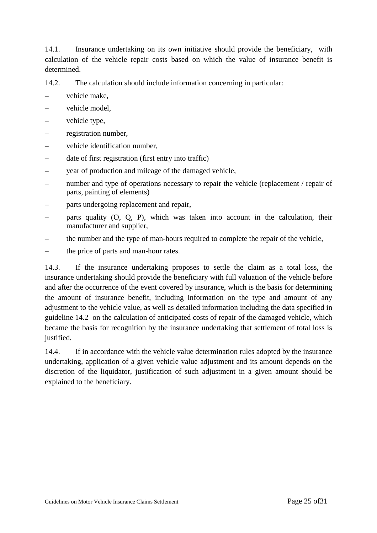14.1. Insurance undertaking on its own initiative should provide the beneficiary, with calculation of the vehicle repair costs based on which the value of insurance benefit is determined.

14.2. The calculation should include information concerning in particular:

- vehicle make,
- vehicle model.
- vehicle type,
- registration number,
- vehicle identification number,
- date of first registration (first entry into traffic)
- year of production and mileage of the damaged vehicle,
- number and type of operations necessary to repair the vehicle (replacement / repair of parts, painting of elements)
- parts undergoing replacement and repair,
- parts quality (O, Q, P), which was taken into account in the calculation, their manufacturer and supplier,
- the number and the type of man-hours required to complete the repair of the vehicle,
- the price of parts and man-hour rates.

14.3. If the insurance undertaking proposes to settle the claim as a total loss, the insurance undertaking should provide the beneficiary with full valuation of the vehicle before and after the occurrence of the event covered by insurance, which is the basis for determining the amount of insurance benefit, including information on the type and amount of any adjustment to the vehicle value, as well as detailed information including the data specified in guideline 14.2 on the calculation of anticipated costs of repair of the damaged vehicle, which became the basis for recognition by the insurance undertaking that settlement of total loss is justified.

14.4. If in accordance with the vehicle value determination rules adopted by the insurance undertaking, application of a given vehicle value adjustment and its amount depends on the discretion of the liquidator, justification of such adjustment in a given amount should be explained to the beneficiary.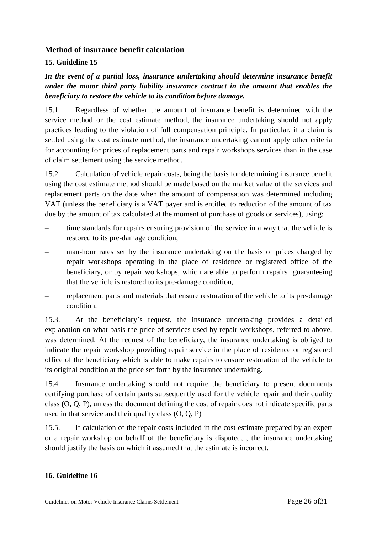#### **Method of insurance benefit calculation**

#### **15. Guideline 15**

*In the event of a partial loss, insurance undertaking should determine insurance benefit under the motor third party liability insurance contract in the amount that enables the beneficiary to restore the vehicle to its condition before damage.* 

15.1. Regardless of whether the amount of insurance benefit is determined with the service method or the cost estimate method, the insurance undertaking should not apply practices leading to the violation of full compensation principle. In particular, if a claim is settled using the cost estimate method, the insurance undertaking cannot apply other criteria for accounting for prices of replacement parts and repair workshops services than in the case of claim settlement using the service method.

15.2. Calculation of vehicle repair costs, being the basis for determining insurance benefit using the cost estimate method should be made based on the market value of the services and replacement parts on the date when the amount of compensation was determined including VAT (unless the beneficiary is a VAT payer and is entitled to reduction of the amount of tax due by the amount of tax calculated at the moment of purchase of goods or services), using:

- time standards for repairs ensuring provision of the service in a way that the vehicle is restored to its pre-damage condition,
- man-hour rates set by the insurance undertaking on the basis of prices charged by repair workshops operating in the place of residence or registered office of the beneficiary, or by repair workshops, which are able to perform repairs guaranteeing that the vehicle is restored to its pre-damage condition,
- replacement parts and materials that ensure restoration of the vehicle to its pre-damage condition.

15.3. At the beneficiary's request, the insurance undertaking provides a detailed explanation on what basis the price of services used by repair workshops, referred to above, was determined. At the request of the beneficiary, the insurance undertaking is obliged to indicate the repair workshop providing repair service in the place of residence or registered office of the beneficiary which is able to make repairs to ensure restoration of the vehicle to its original condition at the price set forth by the insurance undertaking.

15.4. Insurance undertaking should not require the beneficiary to present documents certifying purchase of certain parts subsequently used for the vehicle repair and their quality class (O, Q, P), unless the document defining the cost of repair does not indicate specific parts used in that service and their quality class (O, Q, P)

15.5. If calculation of the repair costs included in the cost estimate prepared by an expert or a repair workshop on behalf of the beneficiary is disputed, , the insurance undertaking should justify the basis on which it assumed that the estimate is incorrect.

#### **16. Guideline 16**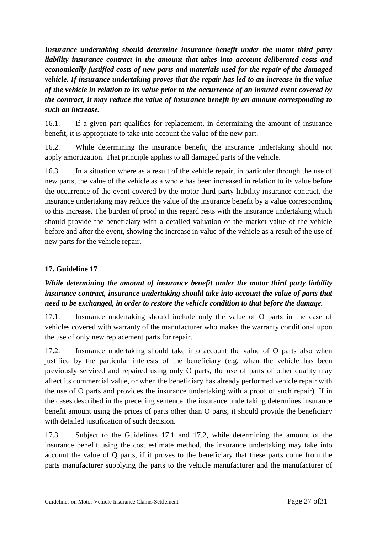*Insurance undertaking should determine insurance benefit under the motor third party liability insurance contract in the amount that takes into account deliberated costs and economically justified costs of new parts and materials used for the repair of the damaged vehicle. If insurance undertaking proves that the repair has led to an increase in the value of the vehicle in relation to its value prior to the occurrence of an insured event covered by the contract, it may reduce the value of insurance benefit by an amount corresponding to such an increase.* 

16.1. If a given part qualifies for replacement, in determining the amount of insurance benefit, it is appropriate to take into account the value of the new part.

16.2. While determining the insurance benefit, the insurance undertaking should not apply amortization. That principle applies to all damaged parts of the vehicle.

16.3. In a situation where as a result of the vehicle repair, in particular through the use of new parts, the value of the vehicle as a whole has been increased in relation to its value before the occurrence of the event covered by the motor third party liability insurance contract, the insurance undertaking may reduce the value of the insurance benefit by a value corresponding to this increase. The burden of proof in this regard rests with the insurance undertaking which should provide the beneficiary with a detailed valuation of the market value of the vehicle before and after the event, showing the increase in value of the vehicle as a result of the use of new parts for the vehicle repair.

## **17. Guideline 17**

## *While determining the amount of insurance benefit under the motor third party liability insurance contract, insurance undertaking should take into account the value of parts that need to be exchanged, in order to restore the vehicle condition to that before the damage.*

17.1. Insurance undertaking should include only the value of O parts in the case of vehicles covered with warranty of the manufacturer who makes the warranty conditional upon the use of only new replacement parts for repair.

17.2. Insurance undertaking should take into account the value of O parts also when justified by the particular interests of the beneficiary (e.g. when the vehicle has been previously serviced and repaired using only O parts, the use of parts of other quality may affect its commercial value, or when the beneficiary has already performed vehicle repair with the use of O parts and provides the insurance undertaking with a proof of such repair). If in the cases described in the preceding sentence, the insurance undertaking determines insurance benefit amount using the prices of parts other than O parts, it should provide the beneficiary with detailed justification of such decision.

17.3. Subject to the Guidelines 17.1 and 17.2, while determining the amount of the insurance benefit using the cost estimate method, the insurance undertaking may take into account the value of Q parts, if it proves to the beneficiary that these parts come from the parts manufacturer supplying the parts to the vehicle manufacturer and the manufacturer of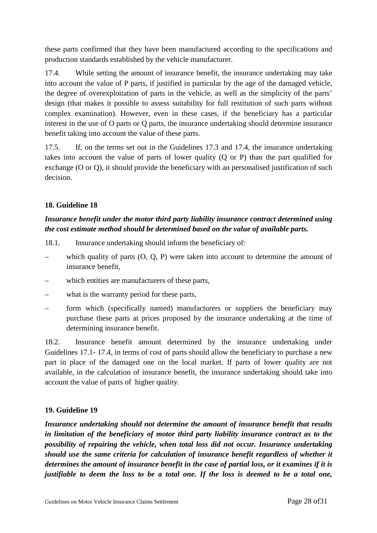these parts confirmed that they have been manufactured according to the specifications and production standards established by the vehicle manufacturer.

17.4. While setting the amount of insurance benefit, the insurance undertaking may take into account the value of P parts, if justified in particular by the age of the damaged vehicle, the degree of overexploitation of parts in the vehicle, as well as the simplicity of the parts' design (that makes it possible to assess suitability for full restitution of such parts without complex examination). However, even in these cases, if the beneficiary has a particular interest in the use of O parts or Q parts, the insurance undertaking should determine insurance benefit taking into account the value of these parts.

17.5. If, on the terms set out in the Guidelines 17.3 and 17.4, the insurance undertaking takes into account the value of parts of lower quality (Q or P) than the part qualified for exchange (O or Q), it should provide the beneficiary with an personalised justification of such decision.

## **18. Guideline 18**

## *Insurance benefit under the motor third party liability insurance contract determined using the cost estimate method should be determined based on the value of available parts.*

- 18.1. Insurance undertaking should inform the beneficiary of:
- which quality of parts  $(0, Q, P)$  were taken into account to determine the amount of insurance benefit,
- which entities are manufacturers of these parts,
- what is the warranty period for these parts,
- form which (specifically named) manufacturers or suppliers the beneficiary may purchase these parts at prices proposed by the insurance undertaking at the time of determining insurance benefit.

18.2. Insurance benefit amount determined by the insurance undertaking under Guidelines 17.1- 17.4, in terms of cost of parts should allow the beneficiary to purchase a new part in place of the damaged one on the local market. If parts of lower quality are not available, in the calculation of insurance benefit, the insurance undertaking should take into account the value of parts of higher quality.

## **19. Guideline 19**

*Insurance undertaking should not determine the amount of insurance benefit that results in limitation of the beneficiary of motor third party liability insurance contract as to the possibility of repairing the vehicle, when total loss did not occur. Insurance undertaking should use the same criteria for calculation of insurance benefit regardless of whether it determines the amount of insurance benefit in the case of partial loss, or it examines if it is justifiable to deem the loss to be a total one. If the loss is deemed to be a total one,*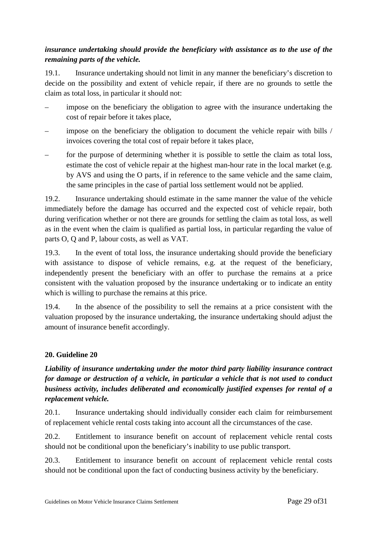## *insurance undertaking should provide the beneficiary with assistance as to the use of the remaining parts of the vehicle.*

19.1. Insurance undertaking should not limit in any manner the beneficiary's discretion to decide on the possibility and extent of vehicle repair, if there are no grounds to settle the claim as total loss, in particular it should not:

- impose on the beneficiary the obligation to agree with the insurance undertaking the cost of repair before it takes place,
- impose on the beneficiary the obligation to document the vehicle repair with bills / invoices covering the total cost of repair before it takes place,
- for the purpose of determining whether it is possible to settle the claim as total loss, estimate the cost of vehicle repair at the highest man-hour rate in the local market (e.g. by AVS and using the O parts, if in reference to the same vehicle and the same claim, the same principles in the case of partial loss settlement would not be applied.

19.2. Insurance undertaking should estimate in the same manner the value of the vehicle immediately before the damage has occurred and the expected cost of vehicle repair, both during verification whether or not there are grounds for settling the claim as total loss, as well as in the event when the claim is qualified as partial loss, in particular regarding the value of parts O, Q and P, labour costs, as well as VAT.

19.3. In the event of total loss, the insurance undertaking should provide the beneficiary with assistance to dispose of vehicle remains, e.g. at the request of the beneficiary, independently present the beneficiary with an offer to purchase the remains at a price consistent with the valuation proposed by the insurance undertaking or to indicate an entity which is willing to purchase the remains at this price.

19.4. In the absence of the possibility to sell the remains at a price consistent with the valuation proposed by the insurance undertaking, the insurance undertaking should adjust the amount of insurance benefit accordingly.

## **20. Guideline 20**

## *Liability of insurance undertaking under the motor third party liability insurance contract for damage or destruction of a vehicle, in particular a vehicle that is not used to conduct business activity, includes deliberated and economically justified expenses for rental of a replacement vehicle.*

20.1. Insurance undertaking should individually consider each claim for reimbursement of replacement vehicle rental costs taking into account all the circumstances of the case.

20.2. Entitlement to insurance benefit on account of replacement vehicle rental costs should not be conditional upon the beneficiary's inability to use public transport.

20.3. Entitlement to insurance benefit on account of replacement vehicle rental costs should not be conditional upon the fact of conducting business activity by the beneficiary.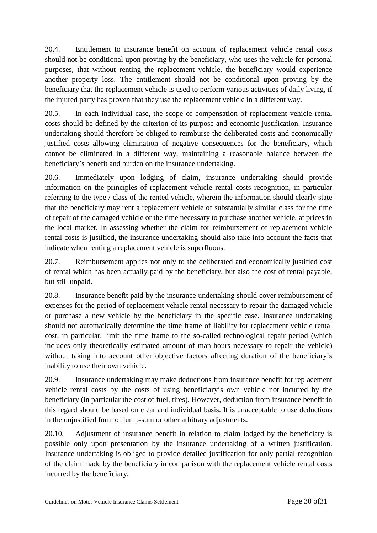20.4. Entitlement to insurance benefit on account of replacement vehicle rental costs should not be conditional upon proving by the beneficiary, who uses the vehicle for personal purposes, that without renting the replacement vehicle, the beneficiary would experience another property loss. The entitlement should not be conditional upon proving by the beneficiary that the replacement vehicle is used to perform various activities of daily living, if the injured party has proven that they use the replacement vehicle in a different way.

20.5. In each individual case, the scope of compensation of replacement vehicle rental costs should be defined by the criterion of its purpose and economic justification. Insurance undertaking should therefore be obliged to reimburse the deliberated costs and economically justified costs allowing elimination of negative consequences for the beneficiary, which cannot be eliminated in a different way, maintaining a reasonable balance between the beneficiary's benefit and burden on the insurance undertaking.

20.6. Immediately upon lodging of claim, insurance undertaking should provide information on the principles of replacement vehicle rental costs recognition, in particular referring to the type / class of the rented vehicle, wherein the information should clearly state that the beneficiary may rent a replacement vehicle of substantially similar class for the time of repair of the damaged vehicle or the time necessary to purchase another vehicle, at prices in the local market. In assessing whether the claim for reimbursement of replacement vehicle rental costs is justified, the insurance undertaking should also take into account the facts that indicate when renting a replacement vehicle is superfluous.

20.7. Reimbursement applies not only to the deliberated and economically justified cost of rental which has been actually paid by the beneficiary, but also the cost of rental payable, but still unpaid.

20.8. Insurance benefit paid by the insurance undertaking should cover reimbursement of expenses for the period of replacement vehicle rental necessary to repair the damaged vehicle or purchase a new vehicle by the beneficiary in the specific case. Insurance undertaking should not automatically determine the time frame of liability for replacement vehicle rental cost, in particular, limit the time frame to the so-called technological repair period (which includes only theoretically estimated amount of man-hours necessary to repair the vehicle) without taking into account other objective factors affecting duration of the beneficiary's inability to use their own vehicle.

20.9. Insurance undertaking may make deductions from insurance benefit for replacement vehicle rental costs by the costs of using beneficiary's own vehicle not incurred by the beneficiary (in particular the cost of fuel, tires). However, deduction from insurance benefit in this regard should be based on clear and individual basis. It is unacceptable to use deductions in the unjustified form of lump-sum or other arbitrary adjustments.

20.10. Adjustment of insurance benefit in relation to claim lodged by the beneficiary is possible only upon presentation by the insurance undertaking of a written justification. Insurance undertaking is obliged to provide detailed justification for only partial recognition of the claim made by the beneficiary in comparison with the replacement vehicle rental costs incurred by the beneficiary.